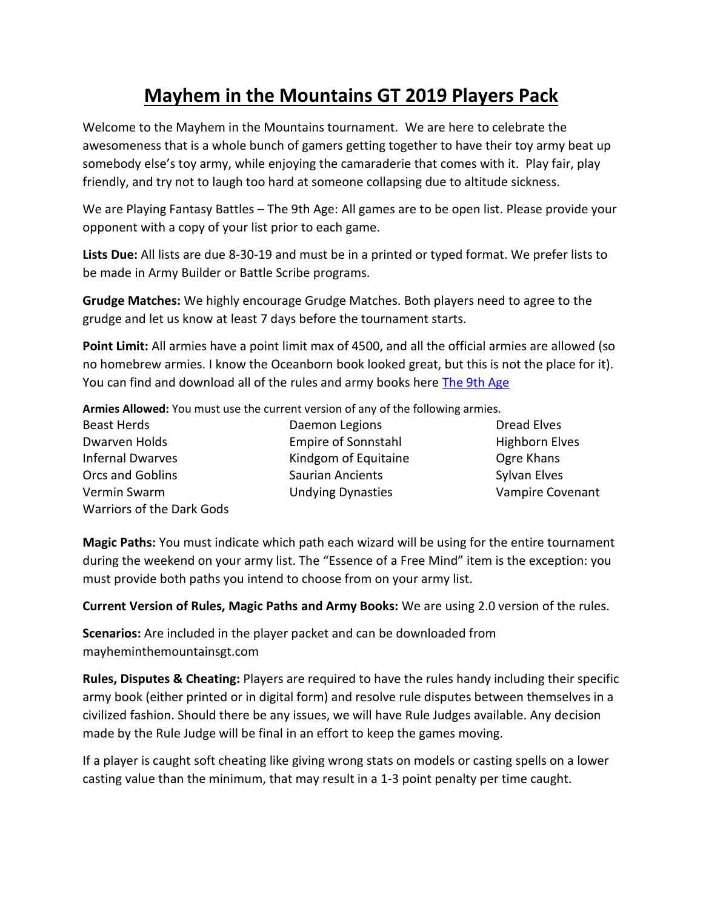## **Mayhem in the Mountains GT 2019 Players Pack**

Welcome to the Mayhem in the Mountains tournament. We are here to celebrate the awesomeness that is a whole bunch of gamers getting together to have their toy army beat up somebody else's toy army, while enjoying the camaraderie that comes with it. Play fair, play friendly, and try not to laugh too hard at someone collapsing due to altitude sickness.

We are Playing Fantasy Battles – The 9th Age: All games are to be open list. Please provide your opponent with a copy of your list prior to each game.

**Lists Due:** All lists are due 8-30-19 and must be in a printed or typed format. We prefer lists to be made in Army Builder or Battle Scribe programs.

**Grudge Matches:** We highly encourage Grudge Matches. Both players need to agree to the grudge and let us know at least 7 days before the tournament starts.

**Point Limit:** All armies have a point limit max of 4500, and all the official armies are allowed (so no homebrew armies. I know the Oceanborn book looked great, but this is not the place for it). You can find and download all of the rules and army books here [The 9th Age](https://www.the-ninth-age.com/index.php?simple-page/&s=4dd288462a3992b16d519d7f414d535b9c67496f)

**Armies Allowed:** You must use the current version of any of the following armies.

| <b>Beast Herds</b>        |
|---------------------------|
| Dwarven Holds             |
| Infernal Dwarves          |
| Orcs and Goblins          |
| Vermin Swarm              |
| Warriors of the Dark Gods |

Daemon Legions Dread Elves Empire of Sonnstahl Highborn Elves Kindgom of Equitaine **Canada Caraches Care Khans** Saurian Ancients Sylvan Elves Undying Dynasties Vampire Covenant

**Magic Paths:** You must indicate which path each wizard will be using for the entire tournament during the weekend on your army list. The "Essence of a Free Mind" item is the exception: you must provide both paths you intend to choose from on your army list.

**Current Version of Rules, Magic Paths and Army Books:** We are using 2.0 version of the rules.

**Scenarios:** Are included in the player packet and can be downloaded from mayheminthemountainsgt.com

**Rules, Disputes & Cheating:** Players are required to have the rules handy including their specific army book (either printed or in digital form) and resolve rule disputes between themselves in a civilized fashion. Should there be any issues, we will have Rule Judges available. Any decision made by the Rule Judge will be final in an effort to keep the games moving.

If a player is caught soft cheating like giving wrong stats on models or casting spells on a lower casting value than the minimum, that may result in a 1-3 point penalty per time caught.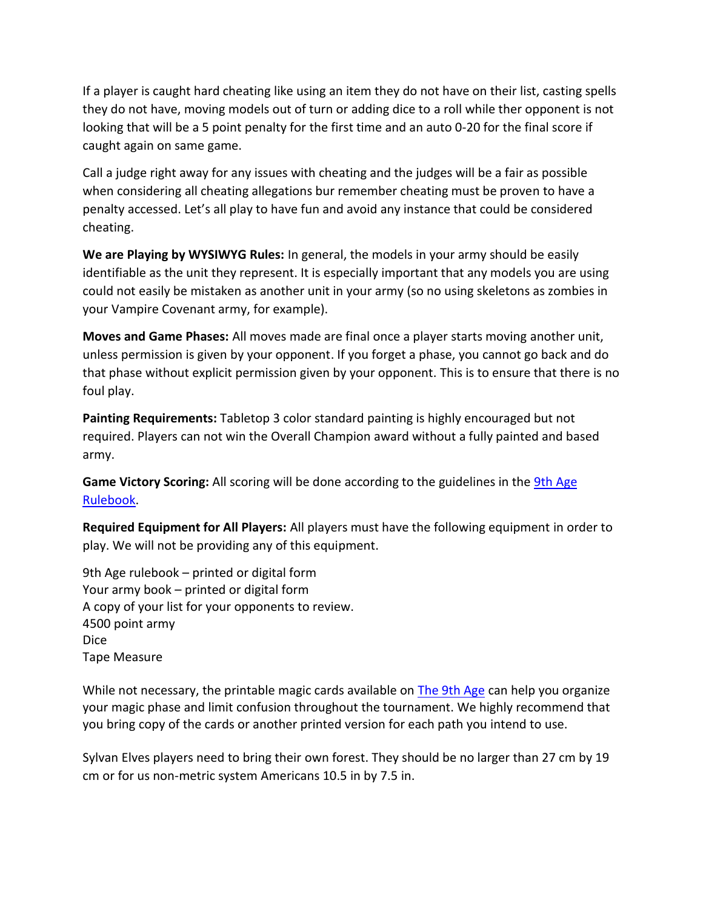If a player is caught hard cheating like using an item they do not have on their list, casting spells they do not have, moving models out of turn or adding dice to a roll while ther opponent is not looking that will be a 5 point penalty for the first time and an auto 0-20 for the final score if caught again on same game.

Call a judge right away for any issues with cheating and the judges will be a fair as possible when considering all cheating allegations bur remember cheating must be proven to have a penalty accessed. Let's all play to have fun and avoid any instance that could be considered cheating.

**We are Playing by WYSIWYG Rules:** In general, the models in your army should be easily identifiable as the unit they represent. It is especially important that any models you are using could not easily be mistaken as another unit in your army (so no using skeletons as zombies in your Vampire Covenant army, for example).

**Moves and Game Phases:** All moves made are final once a player starts moving another unit, unless permission is given by your opponent. If you forget a phase, you cannot go back and do that phase without explicit permission given by your opponent. This is to ensure that there is no foul play.

**Painting Requirements:** Tabletop 3 color standard painting is highly encouraged but not required. Players can not win the Overall Champion award without a fully painted and based army.

**Game Victory Scoring:** All scoring will be done according to the guidelines in the [9th Age](https://www.the-ninth-age.com/index.php?simple-page/&s=4dd288462a3992b16d519d7f414d535b9c67496f)  [Rulebook.](https://www.the-ninth-age.com/index.php?simple-page/&s=4dd288462a3992b16d519d7f414d535b9c67496f)

**Required Equipment for All Players:** All players must have the following equipment in order to play. We will not be providing any of this equipment.

9th Age rulebook – printed or digital form Your army book – printed or digital form A copy of your list for your opponents to review. 4500 point army Dice Tape Measure

While not necessary, the printable magic cards available on [The 9th Age](https://www.the-ninth-age.com/index.php?simple-page/&s=4dd288462a3992b16d519d7f414d535b9c67496f) can help you organize your magic phase and limit confusion throughout the tournament. We highly recommend that you bring copy of the cards or another printed version for each path you intend to use.

Sylvan Elves players need to bring their own forest. They should be no larger than 27 cm by 19 cm or for us non-metric system Americans 10.5 in by 7.5 in.